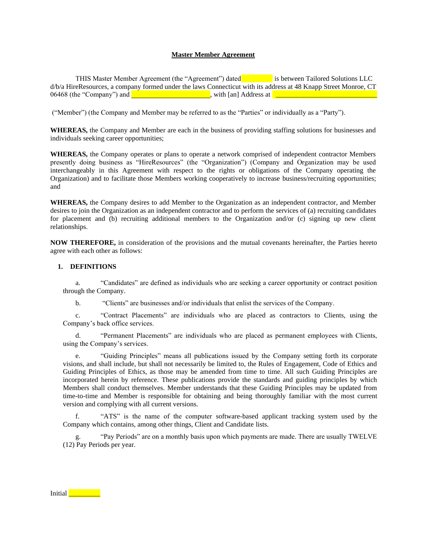#### **Master Member Agreement**

THIS Master Member Agreement (the "Agreement") dated is between Tailored Solutions LLC d/b/a HireResources, a company formed under the laws Connecticut with its address at 48 Knapp Street Monroe, CT 06468 (the "Company") and  $\Box$  , with [an] Address at  $\Box$ 

("Member") (the Company and Member may be referred to as the "Parties" or individually as a "Party").

**WHEREAS,** the Company and Member are each in the business of providing staffing solutions for businesses and individuals seeking career opportunities;

**WHEREAS,** the Company operates or plans to operate a network comprised of independent contractor Members presently doing business as "HireResources" (the "Organization") (Company and Organization may be used interchangeably in this Agreement with respect to the rights or obligations of the Company operating the Organization) and to facilitate those Members working cooperatively to increase business/recruiting opportunities; and

**WHEREAS,** the Company desires to add Member to the Organization as an independent contractor, and Member desires to join the Organization as an independent contractor and to perform the services of (a) recruiting candidates for placement and (b) recruiting additional members to the Organization and/or (c) signing up new client relationships.

**NOW THEREFORE,** in consideration of the provisions and the mutual covenants hereinafter, the Parties hereto agree with each other as follows:

#### **1. DEFINITIONS**

a. "Candidates" are defined as individuals who are seeking a career opportunity or contract position through the Company.

b. "Clients" are businesses and/or individuals that enlist the services of the Company.

c. "Contract Placements" are individuals who are placed as contractors to Clients, using the Company's back office services.

"Permanent Placements" are individuals who are placed as permanent employees with Clients, using the Company's services.

e. "Guiding Principles" means all publications issued by the Company setting forth its corporate visions, and shall include, but shall not necessarily be limited to, the Rules of Engagement, Code of Ethics and Guiding Principles of Ethics, as those may be amended from time to time. All such Guiding Principles are incorporated herein by reference. These publications provide the standards and guiding principles by which Members shall conduct themselves. Member understands that these Guiding Principles may be updated from time-to-time and Member is responsible for obtaining and being thoroughly familiar with the most current version and complying with all current versions.

f. "ATS" is the name of the computer software-based applicant tracking system used by the Company which contains, among other things, Client and Candidate lists.

"Pay Periods" are on a monthly basis upon which payments are made. There are usually TWELVE (12) Pay Periods per year.

# Initial **With Lines**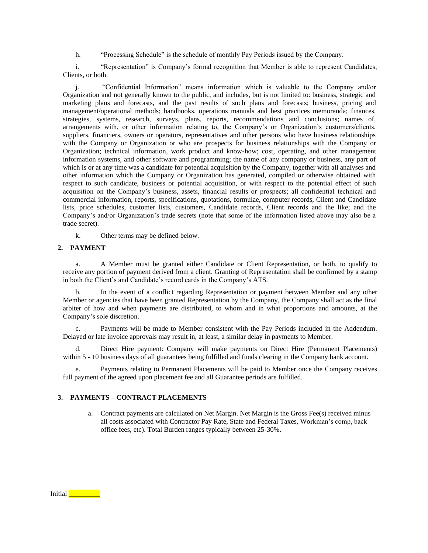h. "Processing Schedule" is the schedule of monthly Pay Periods issued by the Company.

i. "Representation" is Company's formal recognition that Member is able to represent Candidates, Clients, or both.

j. "Confidential Information" means information which is valuable to the Company and/or Organization and not generally known to the public, and includes, but is not limited to: business, strategic and marketing plans and forecasts, and the past results of such plans and forecasts; business, pricing and management/operational methods; handbooks, operations manuals and best practices memoranda; finances, strategies, systems, research, surveys, plans, reports, recommendations and conclusions; names of, arrangements with, or other information relating to, the Company's or Organization's customers/clients, suppliers, financiers, owners or operators, representatives and other persons who have business relationships with the Company or Organization or who are prospects for business relationships with the Company or Organization; technical information, work product and know-how; cost, operating, and other management information systems, and other software and programming; the name of any company or business, any part of which is or at any time was a candidate for potential acquisition by the Company, together with all analyses and other information which the Company or Organization has generated, compiled or otherwise obtained with respect to such candidate, business or potential acquisition, or with respect to the potential effect of such acquisition on the Company's business, assets, financial results or prospects; all confidential technical and commercial information, reports, specifications, quotations, formulae, computer records, Client and Candidate lists, price schedules, customer lists, customers, Candidate records, Client records and the like; and the Company's and/or Organization's trade secrets (note that some of the information listed above may also be a trade secret).

k. Other terms may be defined below.

# **2. PAYMENT**

a. A Member must be granted either Candidate or Client Representation, or both, to qualify to receive any portion of payment derived from a client. Granting of Representation shall be confirmed by a stamp in both the Client's and Candidate's record cards in the Company's ATS.

b. In the event of a conflict regarding Representation or payment between Member and any other Member or agencies that have been granted Representation by the Company, the Company shall act as the final arbiter of how and when payments are distributed, to whom and in what proportions and amounts, at the Company's sole discretion.

c. Payments will be made to Member consistent with the Pay Periods included in the Addendum. Delayed or late invoice approvals may result in, at least, a similar delay in payments to Member.

Direct Hire payment: Company will make payments on Direct Hire (Permanent Placements) within 5 - 10 business days of all guarantees being fulfilled and funds clearing in the Company bank account.

e. Payments relating to Permanent Placements will be paid to Member once the Company receives full payment of the agreed upon placement fee and all Guarantee periods are fulfilled.

## **3. PAYMENTS – CONTRACT PLACEMENTS**

a. Contract payments are calculated on Net Margin. Net Margin is the Gross Fee(s) received minus all costs associated with Contractor Pay Rate, State and Federal Taxes, Workman's comp, back office fees, etc). Total Burden ranges typically between 25-30%.

Initial **Quantilary**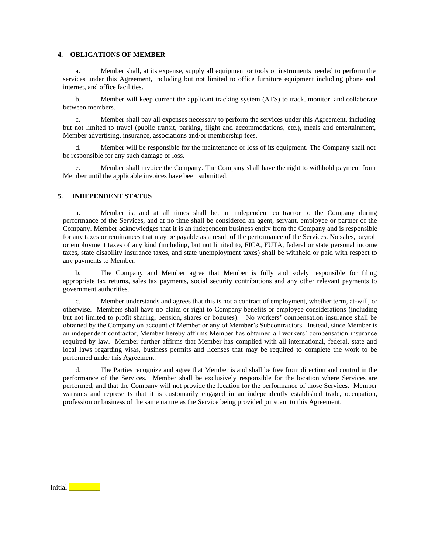## **4. OBLIGATIONS OF MEMBER**

a. Member shall, at its expense, supply all equipment or tools or instruments needed to perform the services under this Agreement, including but not limited to office furniture equipment including phone and internet, and office facilities.

b. Member will keep current the applicant tracking system (ATS) to track, monitor, and collaborate between members.

c. Member shall pay all expenses necessary to perform the services under this Agreement, including but not limited to travel (public transit, parking, flight and accommodations, etc.), meals and entertainment, Member advertising, insurance, associations and/or membership fees.

d. Member will be responsible for the maintenance or loss of its equipment. The Company shall not be responsible for any such damage or loss.

e. Member shall invoice the Company. The Company shall have the right to withhold payment from Member until the applicable invoices have been submitted.

## **5. INDEPENDENT STATUS**

a. Member is, and at all times shall be, an independent contractor to the Company during performance of the Services, and at no time shall be considered an agent, servant, employee or partner of the Company. Member acknowledges that it is an independent business entity from the Company and is responsible for any taxes or remittances that may be payable as a result of the performance of the Services. No sales, payroll or employment taxes of any kind (including, but not limited to, FICA, FUTA, federal or state personal income taxes, state disability insurance taxes, and state unemployment taxes) shall be withheld or paid with respect to any payments to Member.

b. The Company and Member agree that Member is fully and solely responsible for filing appropriate tax returns, sales tax payments, social security contributions and any other relevant payments to government authorities.

c. Member understands and agrees that this is not a contract of employment, whether term, at-will, or otherwise. Members shall have no claim or right to Company benefits or employee considerations (including but not limited to profit sharing, pension, shares or bonuses). No workers' compensation insurance shall be obtained by the Company on account of Member or any of Member's Subcontractors. Instead, since Member is an independent contractor, Member hereby affirms Member has obtained all workers' compensation insurance required by law. Member further affirms that Member has complied with all international, federal, state and local laws regarding visas, business permits and licenses that may be required to complete the work to be performed under this Agreement.

d. The Parties recognize and agree that Member is and shall be free from direction and control in the performance of the Services. Member shall be exclusively responsible for the location where Services are performed, and that the Company will not provide the location for the performance of those Services. Member warrants and represents that it is customarily engaged in an independently established trade, occupation, profession or business of the same nature as the Service being provided pursuant to this Agreement.

Initial **Later**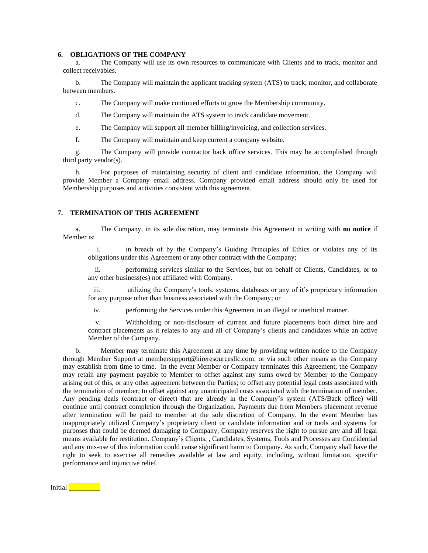#### **6. OBLIGATIONS OF THE COMPANY**

a. The Company will use its own resources to communicate with Clients and to track, monitor and collect receivables.

b. The Company will maintain the applicant tracking system (ATS) to track, monitor, and collaborate between members.

c. The Company will make continued efforts to grow the Membership community.

d. The Company will maintain the ATS system to track candidate movement.

e. The Company will support all member billing/invoicing, and collection services.

f. The Company will maintain and keep current a company website.

g. The Company will provide contractor back office services. This may be accomplished through third party vendor(s).

h. For purposes of maintaining security of client and candidate information, the Company will provide Member a Company email address. Company provided email address should only be used for Membership purposes and activities consistent with this agreement.

## **7. TERMINATION OF THIS AGREEMENT**

a. The Company, in its sole discretion, may terminate this Agreement in writing with **no notice** if Member is:

i. in breach of by the Company's Guiding Principles of Ethics or violates any of its obligations under this Agreement or any other contract with the Company;

ii. performing services similar to the Services, but on behalf of Clients, Candidates, or to any other business(es) not affiliated with Company.

iii. utilizing the Company's tools, systems, databases or any of it's proprietary information for any purpose other than business associated with the Company; or

iv. performing the Services under this Agreement in an illegal or unethical manner.

v. Withholding or non-disclosure of current and future placements both direct hire and contract placements as it relates to any and all of Company's clients and candidates while an active Member of the Company.

b. Member may terminate this Agreement at any time by providing written notice to the Company through Member Support at membe[rsupport@hireresourcesllc.com,](mailto:support@hireresourcesllc.com) or via such other means as the Company may establish from time to time. In the event Member or Company terminates this Agreement, the Company may retain any payment payable to Member to offset against any sums owed by Member to the Company arising out of this, or any other agreement between the Parties; to offset any potential legal costs associated with the termination of member; to offset against any unanticipated costs associated with the termination of member. Any pending deals (contract or direct) that are already in the Company's system (ATS/Back office) will continue until contract completion through the Organization. Payments due from Members placement revenue after termination will be paid to member at the sole discretion of Company. In the event Member has inappropriately utilized Company's proprietary client or candidate information and or tools and systems for purposes that could be deemed damaging to Company, Company reserves the right to pursue any and all legal means available for restitution. Company's Clients, , Candidates, Systems, Tools and Processes are Confidential and any mis-use of this information could cause significant harm to Company. As such, Company shall have the right to seek to exercise all remedies available at law and equity, including, without limitation, specific performance and injunctive relief.

Initial **Quarter**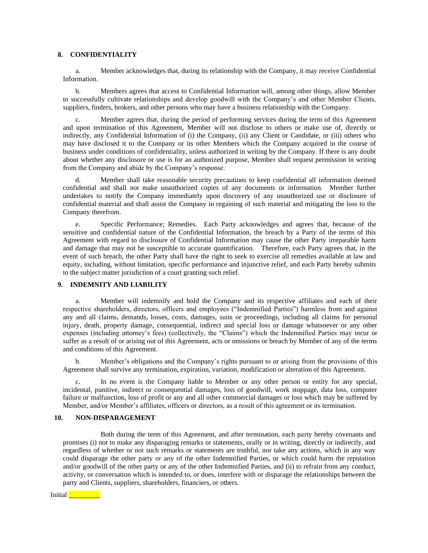## **8. CONFIDENTIALITY**

a. Member acknowledges that, during its relationship with the Company, it may receive Confidential Information.

b. Members agrees that access to Confidential Information will, among other things, allow Member to successfully cultivate relationships and develop goodwill with the Company's and other Member Clients, suppliers, finders, brokers, and other persons who may have a business relationship with the Company.

c. Member agrees that, during the period of performing services during the term of this Agreement and upon termination of this Agreement, Member will not disclose to others or make use of, directly or indirectly, any Confidential Information of (i) the Company, (ii) any Client or Candidate, or (iii) others who may have disclosed it to the Company or its other Members which the Company acquired in the course of business under conditions of confidentiality, unless authorized in writing by the Company. If there is any doubt about whether any disclosure or use is for an authorized purpose, Member shall request permission in writing from the Company and abide by the Company's response.

d. Member shall take reasonable security precautions to keep confidential all information deemed confidential and shall not make unauthorized copies of any documents or information. Member further undertakes to notify the Company immediately upon discovery of any unauthorized use or disclosure of confidential material and shall assist the Company in regaining of such material and mitigating the loss to the Company therefrom.

e. Specific Performance; Remedies. Each Party acknowledges and agrees that, because of the sensitive and confidential nature of the Confidential Information, the breach by a Party of the terms of this Agreement with regard to disclosure of Confidential Information may cause the other Party irreparable harm and damage that may not be susceptible to accurate quantification. Therefore, each Party agrees that, in the event of such breach, the other Party shall have the right to seek to exercise all remedies available at law and equity, including, without limitation, specific performance and injunctive relief, and each Party hereby submits to the subject matter jurisdiction of a court granting such relief.

# **9. INDEMNITY AND LIABILITY**

a. Member will indemnify and hold the Company and its respective affiliates and each of their respective shareholders, directors, officers and employees ("Indemnified Parties") harmless from and against any and all claims, demands, losses, costs, damages, suits or proceedings, including all claims for personal injury, death, property damage, consequential, indirect and special loss or damage whatsoever or any other expenses (including attorney's fees) (collectively, the "Claims") which the Indemnified Parties may incur or suffer as a result of or arising out of this Agreement, acts or omissions or breach by Member of any of the terms and conditions of this Agreement.

b. Member's obligations and the Company's rights pursuant to or arising from the provisions of this Agreement shall survive any termination, expiration, variation, modification or alteration of this Agreement.

In no event is the Company liable to Member or any other person or entity for any special, incidental, punitive, indirect or consequential damages, loss of goodwill, work stoppage, data loss, computer failure or malfunction, loss of profit or any and all other commercial damages or loss which may be suffered by Member, and/or Member's affiliates, officers or directors, as a result of this agreement or its termination.

## **10. NON-DISPARAGEMENT**

Both during the term of this Agreement, and after termination, each party hereby covenants and promises (i) not to make any disparaging remarks or statements, orally or in writing, directly or indirectly, and regardless of whether or not such remarks or statements are truthful, nor take any actions, which in any way could disparage the other party or any of the other Indemnified Parties, or which could harm the reputation and/or goodwill of the other party or any of the other Indemnified Parties, and (ii) to refrain from any conduct, activity, or conversation which is intended to, or does, interfere with or disparage the relationships between the party and Clients, suppliers, shareholders, financiers, or others.

Initial **Latter Latter**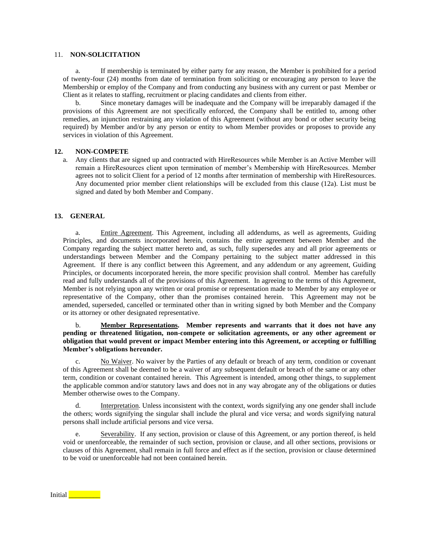#### 11. **NON-SOLICITATION**

a. If membership is terminated by either party for any reason, the Member is prohibited for a period of twenty-four (24) months from date of termination from soliciting or encouraging any person to leave the Membership or employ of the Company and from conducting any business with any current or past Member or Client as it relates to staffing, recruitment or placing candidates and clients from either.

b. Since monetary damages will be inadequate and the Company will be irreparably damaged if the provisions of this Agreement are not specifically enforced, the Company shall be entitled to, among other remedies, an injunction restraining any violation of this Agreement (without any bond or other security being required) by Member and/or by any person or entity to whom Member provides or proposes to provide any services in violation of this Agreement.

#### **12. NON-COMPETE**

a. Any clients that are signed up and contracted with HireResources while Member is an Active Member will remain a HireResources client upon termination of member's Membership with HireResources. Member agrees not to solicit Client for a period of 12 months after termination of membership with HireResources. Any documented prior member client relationships will be excluded from this clause (12a). List must be signed and dated by both Member and Company.

## **13. GENERAL**

a. Entire Agreement. This Agreement, including all addendums, as well as agreements, Guiding Principles, and documents incorporated herein, contains the entire agreement between Member and the Company regarding the subject matter hereto and, as such, fully supersedes any and all prior agreements or understandings between Member and the Company pertaining to the subject matter addressed in this Agreement. If there is any conflict between this Agreement, and any addendum or any agreement, Guiding Principles, or documents incorporated herein, the more specific provision shall control. Member has carefully read and fully understands all of the provisions of this Agreement. In agreeing to the terms of this Agreement, Member is not relying upon any written or oral promise or representation made to Member by any employee or representative of the Company, other than the promises contained herein. This Agreement may not be amended, superseded, cancelled or terminated other than in writing signed by both Member and the Company or its attorney or other designated representative.

## b. **Member Representations. Member represents and warrants that it does not have any pending or threatened litigation, non-compete or solicitation agreements, or any other agreement or obligation that would prevent or impact Member entering into this Agreement, or accepting or fulfilling Member's obligations hereunder.**

c. No Waiver. No waiver by the Parties of any default or breach of any term, condition or covenant of this Agreement shall be deemed to be a waiver of any subsequent default or breach of the same or any other term, condition or covenant contained herein. This Agreement is intended, among other things, to supplement the applicable common and/or statutory laws and does not in any way abrogate any of the obligations or duties Member otherwise owes to the Company.

d. Interpretation. Unless inconsistent with the context, words signifying any one gender shall include the others; words signifying the singular shall include the plural and vice versa; and words signifying natural persons shall include artificial persons and vice versa.

e. Severability. If any section, provision or clause of this Agreement, or any portion thereof, is held void or unenforceable, the remainder of such section, provision or clause, and all other sections, provisions or clauses of this Agreement, shall remain in full force and effect as if the section, provision or clause determined to be void or unenforceable had not been contained herein.

Initial **Lating School**